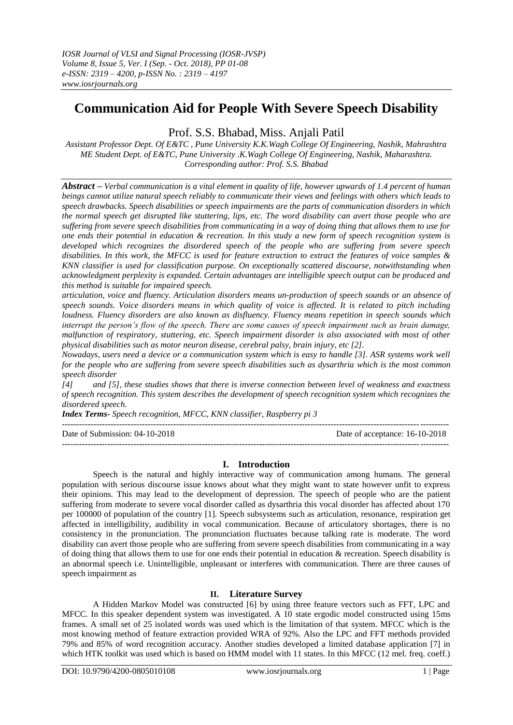# **Communication Aid for People With Severe Speech Disability**

Prof. S.S. Bhabad, Miss. Anjali Patil

*Assistant Professor Dept. Of E&TC , Pune University K.K.Wagh College Of Engineering, Nashik, Mahrashtra ME Student Dept. of E&TC, Pune University .K.Wagh College Of Engineering, Nashik, Maharashtra. Corresponding author: Prof. S.S. Bhabad*

*Abstract – Verbal communication is a vital element in quality of life, however upwards of 1.4 percent of human beings cannot utilize natural speech reliably to communicate their views and feelings with others which leads to speech drawbacks. Speech disabilities or speech impairments are the parts of communication disorders in which the normal speech get disrupted like stuttering, lips, etc. The word disability can avert those people who are suffering from severe speech disabilities from communicating in a way of doing thing that allows them to use for one ends their potential in education & recreation. In this study a new form of speech recognition system is developed which recognizes the disordered speech of the people who are suffering from severe speech disabilities. In this work, the MFCC is used for feature extraction to extract the features of voice samples & KNN classifier is used for classification purpose. On exceptionally scattered discourse, notwithstanding when acknowledgment perplexity is expanded. Certain advantages are intelligible speech output can be produced and this method is suitable for impaired speech.*

*articulation, voice and fluency. Articulation disorders means un-production of speech sounds or an absence of speech sounds. Voice disorders means in which quality of voice is affected. It is related to pitch including loudness. Fluency disorders are also known as disfluency. Fluency means repetition in speech sounds which interrupt the person's flow of the speech. There are some causes of speech impairment such as brain damage,*  malfunction of respiratory, stuttering, etc. Speech impairment disorder is also associated with most of other *physical disabilities such as motor neuron disease, cerebral palsy, brain injury, etc [2].*

*Nowadays, users need a device or a communication system which is easy to handle [3]. ASR systems work well for the people who are suffering from severe speech disabilities such as dysarthria which is the most common speech disorder*

*[4] and [5], these studies shows that there is inverse connection between level of weakness and exactness of speech recognition. This system describes the development of speech recognition system which recognizes the disordered speech.*

*Index Terms- Speech recognition, MFCC, KNN classifier, Raspberry pi 3*

 $-1.1$ Date of Submission: 04-10-2018 Date of acceptance: 16-10-2018

## **I. Introduction**

---------------------------------------------------------------------------------------------------------------------------------------

Speech is the natural and highly interactive way of communication among humans. The general population with serious discourse issue knows about what they might want to state however unfit to express their opinions. This may lead to the development of depression. The speech of people who are the patient suffering from moderate to severe vocal disorder called as dysarthria this vocal disorder has affected about 170 per 100000 of population of the country [1]. Speech subsystems such as articulation, resonance, respiration get affected in intelligibility, audibility in vocal communication. Because of articulatory shortages, there is no consistency in the pronunciation. The pronunciation fluctuates because talking rate is moderate. The word disability can avert those people who are suffering from severe speech disabilities from communicating in a way of doing thing that allows them to use for one ends their potential in education & recreation. Speech disability is an abnormal speech i.e. Unintelligible, unpleasant or interferes with communication. There are three causes of speech impairment as

# **II. Literature Survey**

A Hidden Markov Model was constructed [6] by using three feature vectors such as FFT, LPC and MFCC. In this speaker dependent system was investigated. A 10 state ergodic model constructed using 15ms frames. A small set of 25 isolated words was used which is the limitation of that system. MFCC which is the most knowing method of feature extraction provided WRA of 92%. Also the LPC and FFT methods provided 79% and 85% of word recognition accuracy. Another studies developed a limited database application [7] in which HTK toolkit was used which is based on HMM model with 11 states. In this MFCC (12 mel. freq. coeff.)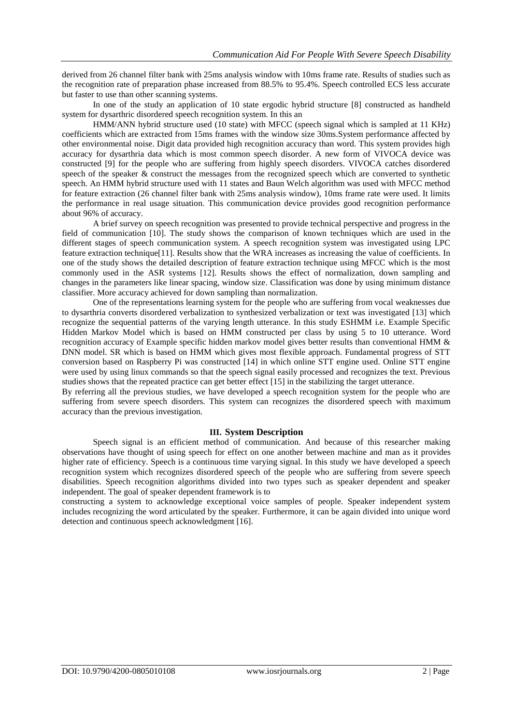derived from 26 channel filter bank with 25ms analysis window with 10ms frame rate. Results of studies such as the recognition rate of preparation phase increased from 88.5% to 95.4%. Speech controlled ECS less accurate but faster to use than other scanning systems.

In one of the study an application of 10 state ergodic hybrid structure [8] constructed as handheld system for dysarthric disordered speech recognition system. In this an

HMM/ANN hybrid structure used (10 state) with MFCC (speech signal which is sampled at 11 KHz) coefficients which are extracted from 15ms frames with the window size 30ms.System performance affected by other environmental noise. Digit data provided high recognition accuracy than word. This system provides high accuracy for dysarthria data which is most common speech disorder. A new form of VIVOCA device was constructed [9] for the people who are suffering from highly speech disorders. VIVOCA catches disordered speech of the speaker & construct the messages from the recognized speech which are converted to synthetic speech. An HMM hybrid structure used with 11 states and Baun Welch algorithm was used with MFCC method for feature extraction (26 channel filter bank with 25ms analysis window), 10ms frame rate were used. It limits the performance in real usage situation. This communication device provides good recognition performance about 96% of accuracy.

A brief survey on speech recognition was presented to provide technical perspective and progress in the field of communication [10]. The study shows the comparison of known techniques which are used in the different stages of speech communication system. A speech recognition system was investigated using LPC feature extraction technique[11]. Results show that the WRA increases as increasing the value of coefficients. In one of the study shows the detailed description of feature extraction technique using MFCC which is the most commonly used in the ASR systems [12]. Results shows the effect of normalization, down sampling and changes in the parameters like linear spacing, window size. Classification was done by using minimum distance classifier. More accuracy achieved for down sampling than normalization.

One of the representations learning system for the people who are suffering from vocal weaknesses due to dysarthria converts disordered verbalization to synthesized verbalization or text was investigated [13] which recognize the sequential patterns of the varying length utterance. In this study ESHMM i.e. Example Specific Hidden Markov Model which is based on HMM constructed per class by using 5 to 10 utterance. Word recognition accuracy of Example specific hidden markov model gives better results than conventional HMM & DNN model. SR which is based on HMM which gives most flexible approach. Fundamental progress of STT conversion based on Raspberry Pi was constructed [14] in which online STT engine used. Online STT engine were used by using linux commands so that the speech signal easily processed and recognizes the text. Previous studies shows that the repeated practice can get better effect [15] in the stabilizing the target utterance.

By referring all the previous studies, we have developed a speech recognition system for the people who are suffering from severe speech disorders. This system can recognizes the disordered speech with maximum accuracy than the previous investigation.

#### **III. System Description**

Speech signal is an efficient method of communication. And because of this researcher making observations have thought of using speech for effect on one another between machine and man as it provides higher rate of efficiency. Speech is a continuous time varying signal. In this study we have developed a speech recognition system which recognizes disordered speech of the people who are suffering from severe speech disabilities. Speech recognition algorithms divided into two types such as speaker dependent and speaker independent. The goal of speaker dependent framework is to

constructing a system to acknowledge exceptional voice samples of people. Speaker independent system includes recognizing the word articulated by the speaker. Furthermore, it can be again divided into unique word detection and continuous speech acknowledgment [16].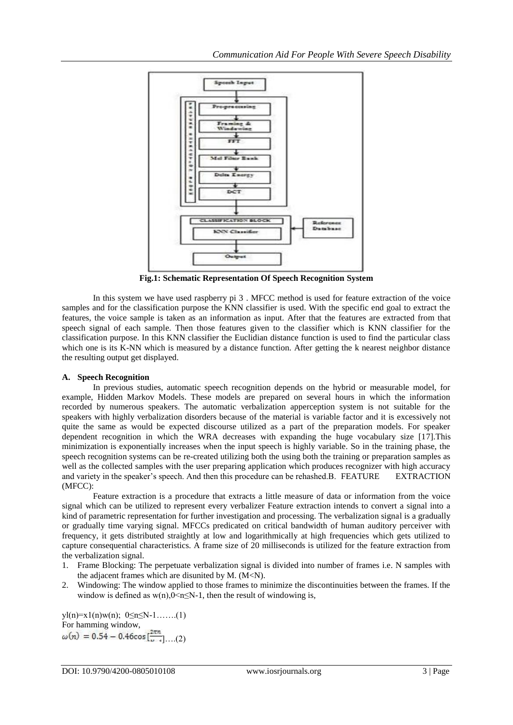

**Fig.1: Schematic Representation Of Speech Recognition System**

In this system we have used raspberry pi 3 . MFCC method is used for feature extraction of the voice samples and for the classification purpose the KNN classifier is used. With the specific end goal to extract the features, the voice sample is taken as an information as input. After that the features are extracted from that speech signal of each sample. Then those features given to the classifier which is KNN classifier for the classification purpose. In this KNN classifier the Euclidian distance function is used to find the particular class which one is its K-NN which is measured by a distance function. After getting the k nearest neighbor distance the resulting output get displayed.

### **A. Speech Recognition**

In previous studies, automatic speech recognition depends on the hybrid or measurable model, for example, Hidden Markov Models. These models are prepared on several hours in which the information recorded by numerous speakers. The automatic verbalization apperception system is not suitable for the speakers with highly verbalization disorders because of the material is variable factor and it is excessively not quite the same as would be expected discourse utilized as a part of the preparation models. For speaker dependent recognition in which the WRA decreases with expanding the huge vocabulary size [17].This minimization is exponentially increases when the input speech is highly variable. So in the training phase, the speech recognition systems can be re-created utilizing both the using both the training or preparation samples as well as the collected samples with the user preparing application which produces recognizer with high accuracy and variety in the speaker's speech. And then this procedure can be rehashed.B. FEATURE EXTRACTION (MFCC):

Feature extraction is a procedure that extracts a little measure of data or information from the voice signal which can be utilized to represent every verbalizer Feature extraction intends to convert a signal into a kind of parametric representation for further investigation and processing. The verbalization signal is a gradually or gradually time varying signal. MFCCs predicated on critical bandwidth of human auditory perceiver with frequency, it gets distributed straightly at low and logarithmically at high frequencies which gets utilized to capture consequential characteristics. A frame size of 20 milliseconds is utilized for the feature extraction from the verbalization signal.

- 1. Frame Blocking: The perpetuate verbalization signal is divided into number of frames i.e. N samples with the adjacent frames which are disunited by M. (M<N).
- 2. Windowing: The window applied to those frames to minimize the discontinuities between the frames. If the window is defined as  $w(n)$ ,  $0 \le n \le N-1$ , then the result of windowing is,

yl(n)=x1(n)w(n);  $0 \le n \le N-1$ .......(1) For hamming window,  $\omega(n) = 0.54 - 0.46 \cos[\frac{2\pi n}{n}] \dots (2)$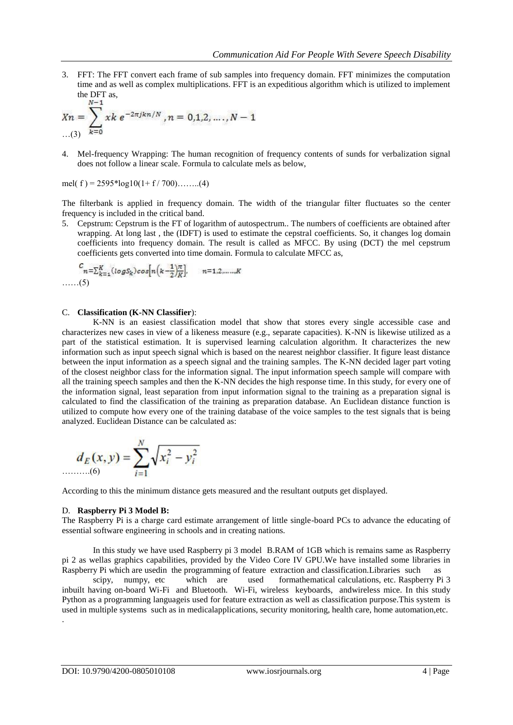3. FFT: The FFT convert each frame of sub samples into frequency domain. FFT minimizes the computation time and as well as complex multiplications. FFT is an expeditious algorithm which is utilized to implement the DFT as,

$$
X_n = \sum_{k=0}^{N-1} xk e^{-2\pi jkn/N}, n = 0,1,2,\ldots,N-1
$$

4. Mel-frequency Wrapping: The human recognition of frequency contents of sunds for verbalization signal does not follow a linear scale. Formula to calculate mels as below,

mel( f ) =  $2595*log10(1+f/700)$ …….(4)

The filterbank is applied in frequency domain. The width of the triangular filter fluctuates so the center frequency is included in the critical band.

5. Cepstrum: Cepstrum is the FT of logarithm of autospectrum.. The numbers of coefficients are obtained after wrapping. At long last, the (IDFT) is used to estimate the cepstral coefficients. So, it changes log domain coefficients into frequency domain. The result is called as MFCC. By using (DCT) the mel cepstrum coefficients gets converted into time domain. Formula to calculate MFCC as,

$$
c_{n=\sum_{k=1}^{K}(\log S_k)\cos\left[n\left(k-\frac{1}{2}\right)\frac{\pi}{K}\right]}, \quad n=1,2,\ldots,K
$$
  
......(5)

#### C. **Classification (K-NN Classifier**):

K-NN is an easiest classification model that show that stores every single accessible case and characterizes new cases in view of a likeness measure (e.g., separate capacities). K-NN is likewise utilized as a part of the statistical estimation. It is supervised learning calculation algorithm. It characterizes the new information such as input speech signal which is based on the nearest neighbor classifier. It figure least distance between the input information as a speech signal and the training samples. The K-NN decided lager part voting of the closest neighbor class for the information signal. The input information speech sample will compare with all the training speech samples and then the K-NN decides the high response time. In this study, for every one of the information signal, least separation from input information signal to the training as a preparation signal is calculated to find the classification of the training as preparation database. An Euclidean distance function is utilized to compute how every one of the training database of the voice samples to the test signals that is being analyzed. Euclidean Distance can be calculated as:

$$
d_E(x, y) = \sum_{i=1}^{N} \sqrt{x_i^2 - y_i^2}
$$

According to this the minimum distance gets measured and the resultant outputs get displayed.

#### D. **Raspberry Pi 3 Model B:**

The Raspberry Pi is a charge card estimate arrangement of little single-board PCs to advance the educating of essential software engineering in schools and in creating nations.

In this study we have used Raspberry pi 3 model B.RAM of 1GB which is remains same as Raspberry pi 2 as wellas graphics capabilities, provided by the Video Core IV GPU.We have installed some libraries in Raspberry Pi which are usedin the programming of feature extraction and classification.Libraries such as scipy, numpy, etc which are used formathematical calculations, etc. Raspberry Pi 3 inbuilt having on-board Wi-Fi and Bluetooth. Wi-Fi, wireless keyboards, andwireless mice. In this study Python as a programming languageis used for feature extraction as well as classification purpose.This system is used in multiple systems such as in medicalapplications, security monitoring, health care, home automation,etc. .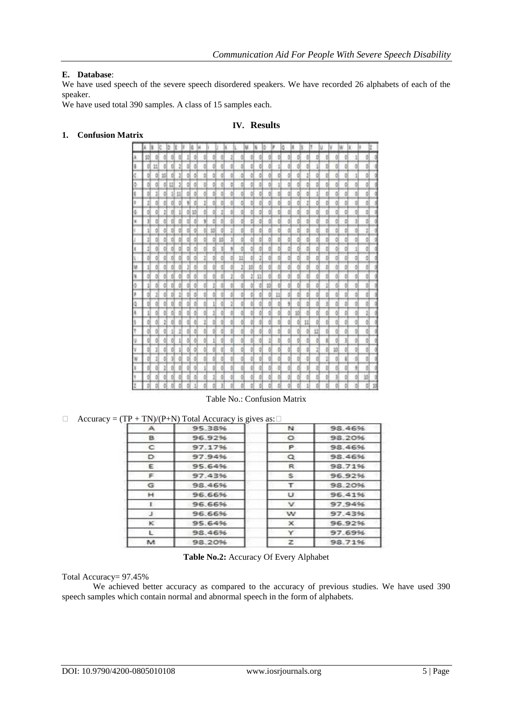## **E. Database**:

We have used speech of the severe speech disordered speakers. We have recorded 26 alphabets of each of the speaker.

We have used total 390 samples. A class of 15 samples each.

### **IV. Results**

## **1. Confusion Matrix**

|   |   |   | ٥ |              |    |    |    |    |    |   |    |    |    |    |   |   |    |    |   |   |   |   |   |   |  |
|---|---|---|---|--------------|----|----|----|----|----|---|----|----|----|----|---|---|----|----|---|---|---|---|---|---|--|
| 挡 |   | d |   |              |    |    |    |    | ë  | ă |    |    | ð  | ŏ  | ₿ | ð | ŏ  |    | B | ć |   | ö | 1 | õ |  |
|   | n |   | ö | ł            | ō  | õ  |    | ΟI | ð  | ŭ | o  | ö  | ð  | ō  | 1 | ō | ōí |    |   | Ð |   | ¢ |   |   |  |
| ₿ | ō | 绉 | ø | I            | ō  |    |    |    |    |   |    | õ  | đ  |    | ö |   | ō  | I  | ō |   |   |   |   |   |  |
| Ď | ō |   | 빏 | ă            | ö  |    | Ď  | ōí | ā  | ŭ | ö  | ö  | ō  | o  | 1 | ō | õÍ |    | D | ö | õ |   |   |   |  |
| ö |   |   |   | $\mathbf{1}$ |    | ð  | ŏ  | ö  | ø  |   | ō  | ö  | d  | Đ  | ō | ō | õ  |    | 1 | Ð | õ |   | ß | ō |  |
| Ï | ō | ô | ō | ō            | ٩l | đ  | 1  | α  | ö  | đ | õ  | ö  | ō  | ŏ  | ô | õ | 6  | ı  | ō | ō | ō | ö | ø | õ |  |
| ٥ | ٥ | 1 | ō | 1            | öl | 10 | ó  | α  | ĭ  | ō | ٥  | ō  | ō  | ö  | ö | õ | ø  | ö  | ö | ø | ō | d | ø | ō |  |
| ĭ |   | ö | ö | o            | ō  | d  | 51 | ö  | ä  | ö | ö  | ö  | ٥  | ō  | ŏ | đ | o  | ō  | ō | ø | õ | D | 1 |   |  |
| 1 |   |   | ö | ă            |    | ð  | Ď  | 16 | ă  | 2 | ő  | ó  | ŭ  | ø  | ö | ō | ō. | ö  | ö | ø |   | ö | ö | 2 |  |
| 1 |   |   |   |              |    |    | Ď  | o  | 55 | ĭ | ŏ  | ō  | ō  | o  | ō | ŭ | ō  |    | ٥ |   |   |   | ö | ō |  |
| 1 |   |   | ō | đ            |    |    | ó  | o  | ĭ  | y | ö  | ó  | ŭ  | ō  | ٥ | ā | ōł |    | ō | o |   |   | 1 | ā |  |
| ö | ō |   | ö | ó            | Ď  |    | Ï  | ö  | đ  | ö | 11 | ó  | ž  | ō  | ö | ā | ó  | ö  | ٥ | ö | ō |   | Ď | ö |  |
| 1 |   |   |   |              |    |    | Ď  |    | đ  | d | 2  | 10 | ō  | ö  | ö | ā |    |    | ö | Ď |   |   | ŏ | ō |  |
| ö |   |   |   |              |    |    |    |    | đ  | ž | ö  | ã  | 11 | Ó  | ö | d | ø  |    | ö | t |   |   |   |   |  |
| 1 |   |   |   |              |    |    |    |    |    | d |    | ö  | đ  | 55 | t |   | õ  |    |   | ž | ô |   |   |   |  |
| Ď |   |   |   | ż            |    |    |    |    |    |   |    | ö  | d  |    | Ħ | ğ |    |    | ö |   |   |   | t |   |  |
|   |   |   |   |              |    |    |    |    |    | ž |    |    | đ  |    |   | ÿ |    |    |   |   |   |   |   |   |  |
|   |   |   |   |              |    |    |    |    |    |   |    | ö  | ă  |    | ŏ | ă | 訪  |    | ö |   |   |   |   |   |  |
| ŏ |   | ž |   |              |    |    |    |    |    |   |    |    |    |    |   | ğ | ö  | 11 |   | ó |   |   |   |   |  |
|   |   |   |   |              |    |    |    |    | đ  | d |    | õ  | đ  |    |   | d | ól |    | Ħ | t |   |   | ö |   |  |
|   |   |   |   |              |    |    |    |    | ã  |   | õ  | õ  | đ  | 1  |   |   | ō  |    | ¢ |   |   |   | ŏ | o |  |
|   |   |   |   |              |    |    |    |    |    |   |    |    | ğ  |    | ¢ | ğ |    |    | 1 | ¢ |   |   | ğ |   |  |
|   |   |   |   | ğ            | b  |    | ŏ  |    | d  | ö |    | ö  | d  |    |   |   | ö  | ö  |   | ì |   |   | ö |   |  |
|   |   | ä | õ | õ            | ۵  | õ  | 1  |    | ă  | ŏ | ö  | ¢  | ă  | õ  | ₿ | ŏ | d  |    | ă | ø |   | ö | ş |   |  |
| ö |   | õ | ¢ | ē            |    | ö  | ₿  |    | đ  | ă | ö  | õ  | ð  | ō  | õ | ă | ¢ļ | ₿  | õ | ō |   | ¢ | ₿ | 頶 |  |
| Ď |   |   |   |              |    |    |    |    |    |   | ö  | ó  | d  |    |   | ă | ö. | 1  |   | ö |   |   | é | d |  |

Table No.: Confusion Matrix

## $\Box$  Accuracy = (TP + TN)/(P+N) Total Accuracy is gives as:  $\Box$

| А | 95.38% | N                         | 98.46% |
|---|--------|---------------------------|--------|
|   |        |                           |        |
| в | 96.92% | $\circ$                   | 98.20% |
| c | 97.17% | P.                        | 98.46% |
| D | 97.94% | $^{\circ}$                | 98.46% |
| Ε | 95.64% | R                         | 98.71% |
| F | 97.43% | s                         | 96.92% |
| G | 98.46% | т                         | 98.20% |
| н | 96.66% | u                         | 96.41% |
|   | 96.66% | v                         | 97.94% |
| J | 96.66% | w                         | 97.43% |
| к | 95.64% | $\boldsymbol{\mathsf{x}}$ | 96.92% |
|   | 98.46% | Y                         | 97.69% |
| M | 98.20% | z                         | 98.71% |
|   |        |                           |        |

**Table No.2:** Accuracy Of Every Alphabet

#### Total Accuracy= 97.45%

We achieved better accuracy as compared to the accuracy of previous studies. We have used 390 speech samples which contain normal and abnormal speech in the form of alphabets.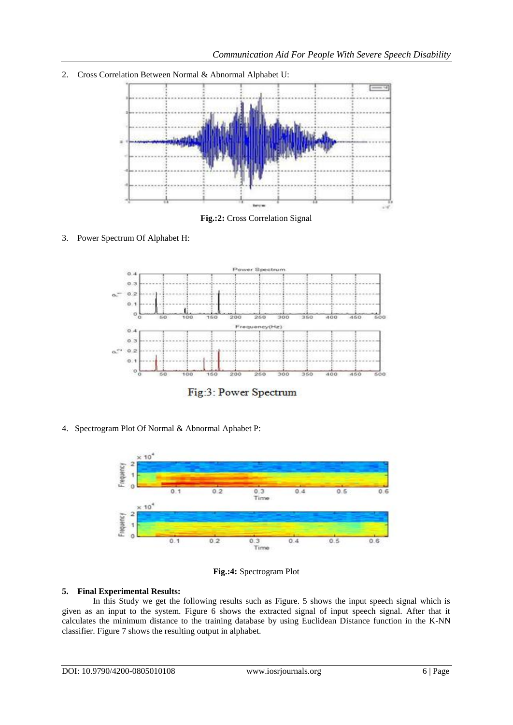2. Cross Correlation Between Normal & Abnormal Alphabet U:



**Fig.:2:** Cross Correlation Signal

3. Power Spectrum Of Alphabet H:



Fig:3: Power Spectrum

4. Spectrogram Plot Of Normal & Abnormal Aphabet P:



**Fig.:4:** Spectrogram Plot

## **5. Final Experimental Results:**

In this Study we get the following results such as Figure. 5 shows the input speech signal which is given as an input to the system. Figure 6 shows the extracted signal of input speech signal. After that it calculates the minimum distance to the training database by using Euclidean Distance function in the K-NN classifier. Figure 7 shows the resulting output in alphabet.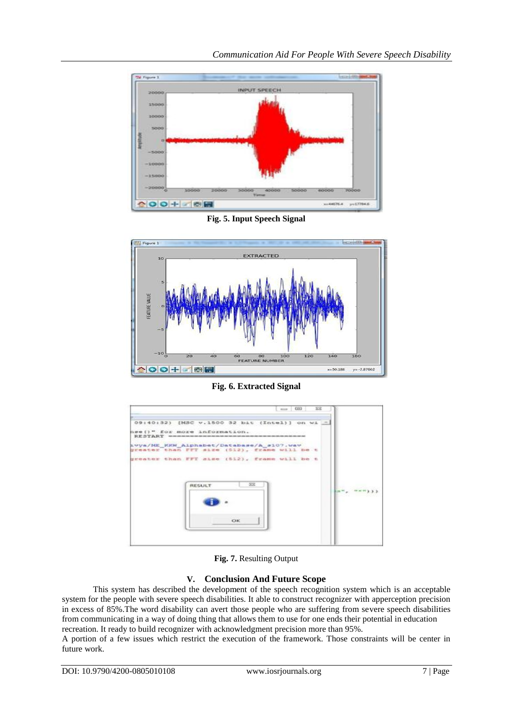

*Communication Aid For People With Severe Speech Disability*

**Fig. 5. Input Speech Signal**



**Fig. 6. Extracted Signal**

| nion 000<br>$-32$                                                                                                                                                                                                                                               |  |
|-----------------------------------------------------------------------------------------------------------------------------------------------------------------------------------------------------------------------------------------------------------------|--|
| 09:40:32) [MSC v.1500 32 bit (Intel)] on wi =                                                                                                                                                                                                                   |  |
| hse () " for more information.<br>BESTART announcements and construction of the construction of the construction of the construction of the construction of the construction of the construction of the construction of the construction of the construction of |  |
| Avya/ME KKW Alphabet/Database/A s107.wav<br>greater than FFT size (512), frame will be t                                                                                                                                                                        |  |
| greater than FFT size (512), frame will be t                                                                                                                                                                                                                    |  |
|                                                                                                                                                                                                                                                                 |  |
| $^{52}$<br><b>RESULT</b>                                                                                                                                                                                                                                        |  |
|                                                                                                                                                                                                                                                                 |  |
|                                                                                                                                                                                                                                                                 |  |
| OK                                                                                                                                                                                                                                                              |  |
|                                                                                                                                                                                                                                                                 |  |
|                                                                                                                                                                                                                                                                 |  |
|                                                                                                                                                                                                                                                                 |  |

**Fig. 7.** Resulting Output

# **V. Conclusion And Future Scope**

This system has described the development of the speech recognition system which is an acceptable system for the people with severe speech disabilities. It able to construct recognizer with apperception precision in excess of 85%.The word disability can avert those people who are suffering from severe speech disabilities from communicating in a way of doing thing that allows them to use for one ends their potential in education recreation. It ready to build recognizer with acknowledgment precision more than 95%.

A portion of a few issues which restrict the execution of the framework. Those constraints will be center in future work.